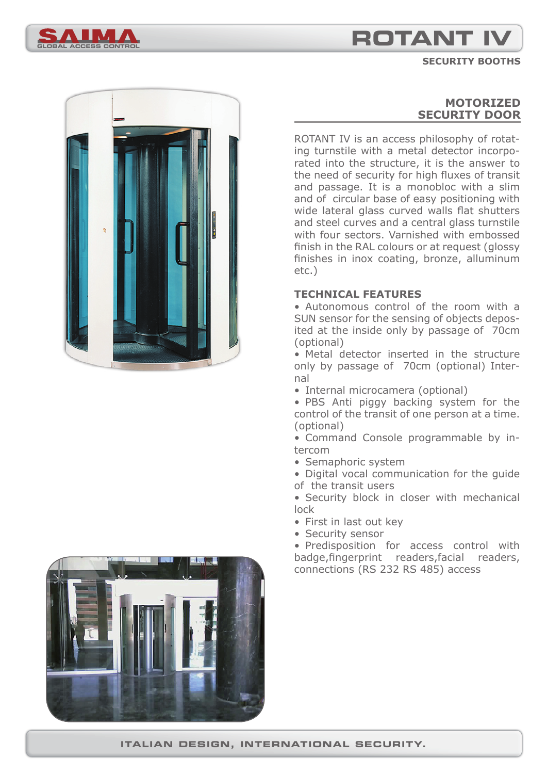

**SECURITY BOOTHS**





## **MOTORIZED SECURITY DOOR**

ROTANT IV is an access philosophy of rotating turnstile with a metal detector incorporated into the structure, it is the answer to the need of security for high fluxes of transit and passage. It is a monobloc with a slim and of circular base of easy positioning with wide lateral glass curved walls flat shutters and steel curves and a central glass turnstile with four sectors. Varnished with embossed finish in the RAL colours or at request (glossy finishes in inox coating, bronze, alluminum etc.)

#### **TECHNICAL FEATURES**

• Autonomous control of the room with a SUN sensor for the sensing of objects deposited at the inside only by passage of 70cm (optional)

• Metal detector inserted in the structure only by passage of 70cm (optional) Internal

• Internal microcamera (optional)

• PBS Anti piggy backing system for the control of the transit of one person at a time. (optional)

• Command Console programmable by intercom

• Semaphoric system

• Digital vocal communication for the guide of the transit users

• Security block in closer with mechanical lock

- First in last out key
- Security sensor

• Predisposition for access control with badge, fingerprint readers, facial readers, connections (RS 232 RS 485) access